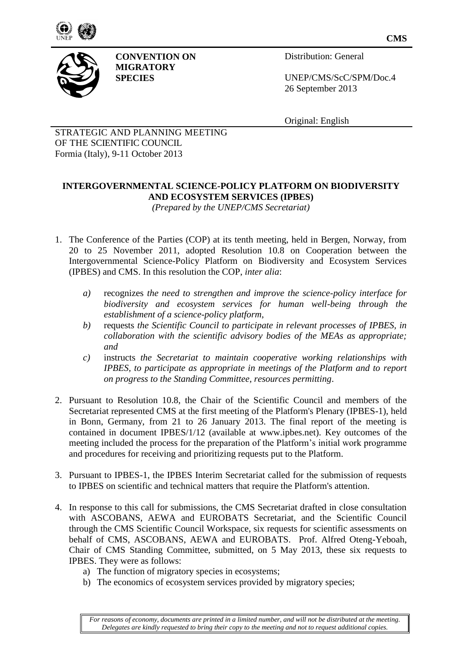



**CONVENTION ON MIGRATORY SPECIES**

Distribution: General

UNEP/CMS/ScC/SPM/Doc.4 26 September 2013

Original: English

STRATEGIC AND PLANNING MEETING OF THE SCIENTIFIC COUNCIL Formia (Italy), 9-11 October 2013

# **INTERGOVERNMENTAL SCIENCE-POLICY PLATFORM ON BIODIVERSITY AND ECOSYSTEM SERVICES (IPBES)**

*(Prepared by the UNEP/CMS Secretariat)*

- 1. The Conference of the Parties (COP) at its tenth meeting, held in Bergen, Norway, from 20 to 25 November 2011, adopted Resolution 10.8 on Cooperation between the Intergovernmental Science-Policy Platform on Biodiversity and Ecosystem Services (IPBES) and CMS. In this resolution the COP, *inter alia*:
	- *a)* recognizes *the need to strengthen and improve the science-policy interface for biodiversity and ecosystem services for human well-being through the establishment of a science-policy platform*,
	- *b)* requests *the Scientific Council to participate in relevant processes of IPBES, in collaboration with the scientific advisory bodies of the MEAs as appropriate; and*
	- *c)* instructs *the Secretariat to maintain cooperative working relationships with IPBES, to participate as appropriate in meetings of the Platform and to report on progress to the Standing Committee, resources permitting*.
- 2. Pursuant to Resolution 10.8, the Chair of the Scientific Council and members of the Secretariat represented CMS at the first meeting of the Platform's Plenary (IPBES-1), held in Bonn, Germany, from 21 to 26 January 2013. The final report of the meeting is contained in document IPBES/1/12 (available at www.ipbes.net). Key outcomes of the meeting included the process for the preparation of the Platform's initial work programme and procedures for receiving and prioritizing requests put to the Platform.
- 3. Pursuant to IPBES-1, the IPBES Interim Secretariat called for the submission of requests to IPBES on scientific and technical matters that require the Platform's attention.
- 4. In response to this call for submissions, the CMS Secretariat drafted in close consultation with ASCOBANS, AEWA and EUROBATS Secretariat, and the Scientific Council through the CMS Scientific Council Workspace, six requests for scientific assessments on behalf of CMS, ASCOBANS, AEWA and EUROBATS. Prof. Alfred Oteng-Yeboah, Chair of CMS Standing Committee, submitted, on 5 May 2013, these six requests to IPBES. They were as follows:
	- a) The function of migratory species in ecosystems;
	- b) The economics of ecosystem services provided by migratory species;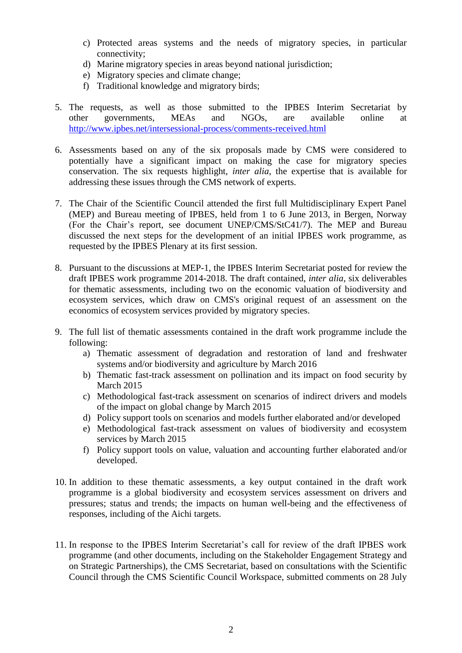- c) Protected areas systems and the needs of migratory species, in particular connectivity;
- d) Marine migratory species in areas beyond national jurisdiction;
- e) Migratory species and climate change;
- f) Traditional knowledge and migratory birds;
- 5. The requests, as well as those submitted to the IPBES Interim Secretariat by other governments, MEAs and NGOs, are available online at <http://www.ipbes.net/intersessional-process/comments-received.html>
- 6. Assessments based on any of the six proposals made by CMS were considered to potentially have a significant impact on making the case for migratory species conservation. The six requests highlight, *inter alia*, the expertise that is available for addressing these issues through the CMS network of experts.
- 7. The Chair of the Scientific Council attended the first full Multidisciplinary Expert Panel (MEP) and Bureau meeting of IPBES, held from 1 to 6 June 2013, in Bergen, Norway (For the Chair's report, see document UNEP/CMS/StC41/7). The MEP and Bureau discussed the next steps for the development of an initial IPBES work programme, as requested by the IPBES Plenary at its first session.
- 8. Pursuant to the discussions at MEP-1, the IPBES Interim Secretariat posted for review the draft IPBES work programme 2014-2018. The draft contained, *inter alia*, six deliverables for thematic assessments, including two on the economic valuation of biodiversity and ecosystem services, which draw on CMS's original request of an assessment on the economics of ecosystem services provided by migratory species.
- 9. The full list of thematic assessments contained in the draft work programme include the following:
	- a) Thematic assessment of degradation and restoration of land and freshwater systems and/or biodiversity and agriculture by March 2016
	- b) Thematic fast-track assessment on pollination and its impact on food security by March 2015
	- c) Methodological fast-track assessment on scenarios of indirect drivers and models of the impact on global change by March 2015
	- d) Policy support tools on scenarios and models further elaborated and/or developed
	- e) Methodological fast-track assessment on values of biodiversity and ecosystem services by March 2015
	- f) Policy support tools on value, valuation and accounting further elaborated and/or developed.
- 10. In addition to these thematic assessments, a key output contained in the draft work programme is a global biodiversity and ecosystem services assessment on drivers and pressures; status and trends; the impacts on human well-being and the effectiveness of responses, including of the Aichi targets.
- 11. In response to the IPBES Interim Secretariat's call for review of the draft IPBES work programme (and other documents, including on the Stakeholder Engagement Strategy and on Strategic Partnerships), the CMS Secretariat, based on consultations with the Scientific Council through the CMS Scientific Council Workspace, submitted comments on 28 July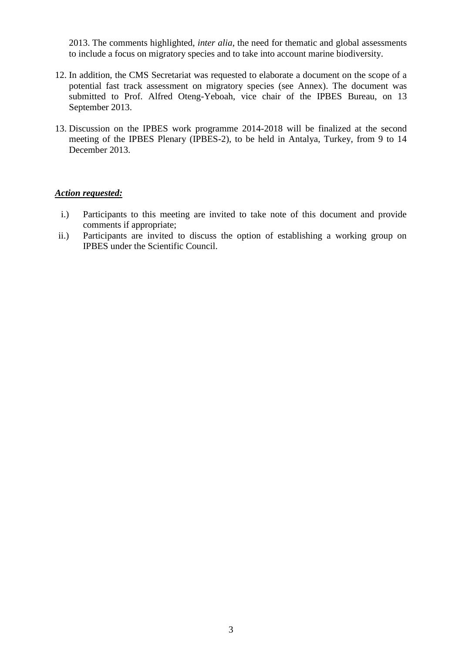2013. The comments highlighted, *inter alia*, the need for thematic and global assessments to include a focus on migratory species and to take into account marine biodiversity.

- 12. In addition, the CMS Secretariat was requested to elaborate a document on the scope of a potential fast track assessment on migratory species (see Annex). The document was submitted to Prof. Alfred Oteng-Yeboah, vice chair of the IPBES Bureau, on 13 September 2013.
- 13. Discussion on the IPBES work programme 2014-2018 will be finalized at the second meeting of the IPBES Plenary (IPBES-2), to be held in Antalya, Turkey, from 9 to 14 December 2013.

#### *Action requested:*

- i.) Participants to this meeting are invited to take note of this document and provide comments if appropriate;
- ii.) Participants are invited to discuss the option of establishing a working group on IPBES under the Scientific Council.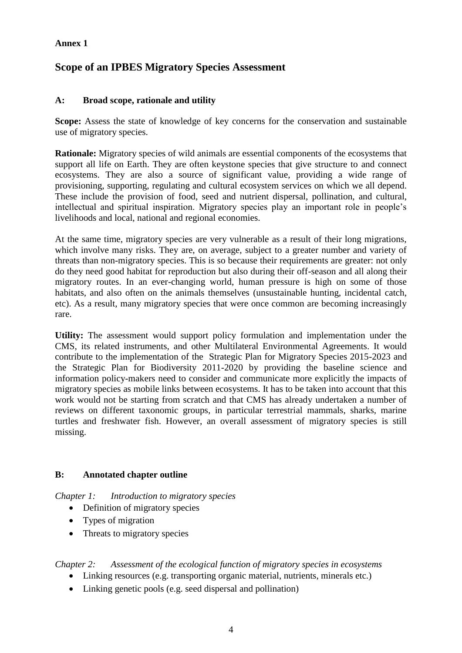#### **Annex 1**

# **Scope of an IPBES Migratory Species Assessment**

### **A: Broad scope, rationale and utility**

**Scope:** Assess the state of knowledge of key concerns for the conservation and sustainable use of migratory species.

**Rationale:** Migratory species of wild animals are essential components of the ecosystems that support all life on Earth. They are often keystone species that give structure to and connect ecosystems. They are also a source of significant value, providing a wide range of provisioning, supporting, regulating and cultural ecosystem services on which we all depend. These include the provision of food, seed and nutrient dispersal, pollination, and cultural, intellectual and spiritual inspiration. Migratory species play an important role in people's livelihoods and local, national and regional economies.

At the same time, migratory species are very vulnerable as a result of their long migrations, which involve many risks. They are, on average, subject to a greater number and variety of threats than non-migratory species. This is so because their requirements are greater: not only do they need good habitat for reproduction but also during their off-season and all along their migratory routes. In an ever-changing world, human pressure is high on some of those habitats, and also often on the animals themselves (unsustainable hunting, incidental catch, etc). As a result, many migratory species that were once common are becoming increasingly rare.

**Utility:** The assessment would support policy formulation and implementation under the CMS, its related instruments, and other Multilateral Environmental Agreements. It would contribute to the implementation of the Strategic Plan for Migratory Species 2015-2023 and the Strategic Plan for Biodiversity 2011-2020 by providing the baseline science and information policy-makers need to consider and communicate more explicitly the impacts of migratory species as mobile links between ecosystems. It has to be taken into account that this work would not be starting from scratch and that CMS has already undertaken a number of reviews on different taxonomic groups, in particular terrestrial mammals, sharks, marine turtles and freshwater fish. However, an overall assessment of migratory species is still missing.

#### **B: Annotated chapter outline**

*Chapter 1: Introduction to migratory species*

- Definition of migratory species
- Types of migration
- Threats to migratory species

#### *Chapter 2: Assessment of the ecological function of migratory species in ecosystems*

- Linking resources (e.g. transporting organic material, nutrients, minerals etc.)
- Linking genetic pools (e.g. seed dispersal and pollination)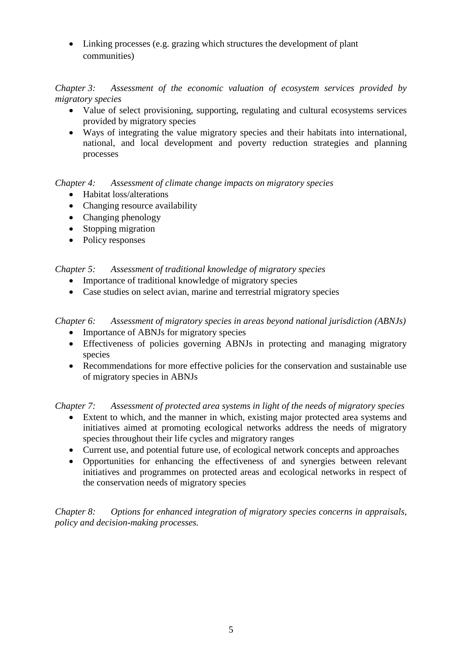• Linking processes (e.g. grazing which structures the development of plant communities)

*Chapter 3: Assessment of the economic valuation of ecosystem services provided by migratory species*

- Value of select provisioning, supporting, regulating and cultural ecosystems services provided by migratory species
- Ways of integrating the value migratory species and their habitats into international, national, and local development and poverty reduction strategies and planning processes

### *Chapter 4: Assessment of climate change impacts on migratory species*

- Habitat loss/alterations
- Changing resource availability
- Changing phenology
- Stopping migration
- Policy responses

# *Chapter 5: Assessment of traditional knowledge of migratory species*

- Importance of traditional knowledge of migratory species
- Case studies on select avian, marine and terrestrial migratory species

# *Chapter 6: Assessment of migratory species in areas beyond national jurisdiction (ABNJs)*

- Importance of ABNJs for migratory species
- Effectiveness of policies governing ABNJs in protecting and managing migratory species
- Recommendations for more effective policies for the conservation and sustainable use of migratory species in ABNJs

# *Chapter 7: Assessment of protected area systems in light of the needs of migratory species*

- Extent to which, and the manner in which, existing major protected area systems and initiatives aimed at promoting ecological networks address the needs of migratory species throughout their life cycles and migratory ranges
- Current use, and potential future use, of ecological network concepts and approaches
- Opportunities for enhancing the effectiveness of and synergies between relevant initiatives and programmes on protected areas and ecological networks in respect of the conservation needs of migratory species

*Chapter 8: Options for enhanced integration of migratory species concerns in appraisals, policy and decision-making processes.*